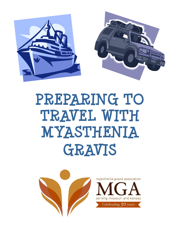

# PREPARING TO TRAVEL WITH MYASTHENIA GRAVIS

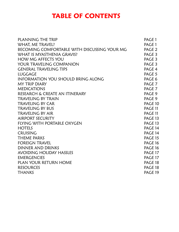# TABLE OF CONTENTS

| PLANNING THE TRIP                            | PAGE 1            |
|----------------------------------------------|-------------------|
| WHAT, ME TRAVEL?                             | PAGE 1            |
| BECOMING COMFORTABLE WITH DISCUSSING YOUR MG | PAGE <sub>2</sub> |
| WHAT IS MYASTHENIA GRAVIS?                   | PAGE 3            |
| <b>HOW MG AFFECTS YOU</b>                    | PAGE 3            |
| <b>YOUR TRAVELING COMPANION</b>              | PAGE 3            |
| <b>GENERAL TRAVELING TIPS</b>                | PAGE 4            |
| <b>LUGGAGE</b>                               | PAGE 5            |
| <b>INFORMATION YOU SHOULD BRING ALONG</b>    | PAGE 6            |
| <b>MY TRIP DIARY</b>                         | PAGE 7            |
| <b>MEDICATIONS</b>                           | PAGE 7            |
| RESEARCH & CREATE AN ITINERARY               | PAGE 9            |
| <b>TRAVELING BY TRAIN</b>                    | PAGE 9            |
| <b>TRAVELING BY CAR</b>                      | PAGE 10           |
| <b>TRAVELING BY BUS</b>                      | PAGE 11           |
| <b>TRAVELING BY AIR</b>                      | PAGE 11           |
| <b>AIRPORT SECURITY</b>                      | PAGE 13           |
| FLYING WITH PORTABLE OXYGEN                  | PAGE 13           |
| <b>HOTELS</b>                                | PAGE 14           |
| <b>CRUISING</b>                              | PAGE 14           |
| <b>THEME PARKS</b>                           | PAGE 15           |
| <b>FOREIGN TRAVEL</b>                        | PAGE 16           |
| <b>DINNER AND DRINKS</b>                     | PAGE 16           |
| <b>AVOIDING HOLIDAY HASSLES</b>              | PAGE 17           |
| <b>EMERGENCIES</b>                           | PAGE 17           |
| <b>PLAN YOUR RETURN HOME</b>                 | PAGE 18           |
| <b>RESOURCES</b>                             | PAGE 18           |
| <b>THANKS</b>                                | PAGE 19           |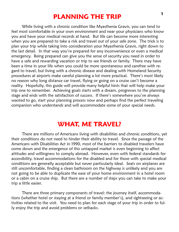#### PLANNING THE TRIP

 While living with a chronic condition like Myasthenia Gravis, you can tend to feel most comfortable in your own environment and near your physicians who know you and have your medical records at hand. But life can become more interesting when you are prepared to take a risk and travel out of your safe zone. The trick is to plan your trip while taking into consideration your Myasthenia Gravis, right down to the last detail. In that way you're prepared for any inconvenience or even a medical emergency. Being prepared can give you the sense of security you need in order to have a safe and rewarding vacation or trip to see friends or family. There may have been a time in your life when you could be more spontaneous and carefree with regard to travel, but living with a chronic disease and dealing with Homeland Security procedures at airports make careful planning a lot more practical. There's most likely no reason why long distance car travel, flying or going on a cruise can't become a reality. Hopefully, this guide will provide many helpful hints that will help make your trip one to remember. Achieving goals starts with a dream, progresses to the planning stage and ends with the satisfaction of success. If there's somewhere you've always wanted to go, start your planning process now and perhaps find the perfect traveling companion who understands and will accommodate some of your special needs.

#### WHAT, ME TRAVEL?

 There are millions of Americans living with disabilities and chronic conditions, yet their conditions do not need to hinder their ability to travel. Since the passage of the Americans with Disabilities Act in 1990, most of the barriers to disabled travelers have come down and the emergence of this untapped market is even beginning to affect attitudes and willingness to comply abroad. However, even with federal standards for accessibility, travel accommodations for the disabled and for those with special medical conditions are generally acceptable but never particularly ideal. Seats on airplanes are still uncomfortable, finding a clean bathroom on the highway is unlikely and you are not going to be able to duplicate the ease of your home environment in a hotel room or a cabin on a cruise ship. But there are a number of steps you can take to make your trip a little easier.

 There are three primary components of travel: the journey itself, accommodations (whether hotel or staying at a friend or family member's), and sightseeing or activities related to the visit. You need to plan for each stage of your trip in order to fully enjoy the trip and avoid problems or setbacks.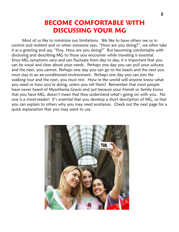## BECOME COMFORTABLE WITH DISCUSSING YOUR MG

 Most of us like to minimize our limitations. We like to have others see us in control and resilient and so when someone says, "How are you doing?", we often take it as a greeting and say, "Fine. How are you doing?" But becoming comfortable with disclosing and describing MG to those you encounter while traveling is essential. Since MG symptoms vary and can fluctuate from day to day, it is important that you can be vocal and clear about your needs. Perhaps one day you can pull your suitcase and the next, you cannot. Perhaps one day you can go to the beach and the next you must stay in an air-conditioned environment. Perhaps one day you can join the walking tour and the next, you must rest. How in the world will anyone know what you need or how you're doing, unless you tell them? Remember that most people have never heard of Myasthenia Gravis and just because your friends or family know that you have MG, doesn't mean that they understand what's going on with you. No one is a mind-reader! It's essential that you develop a short description of MG, so that you can explain to others why you may need assistance. Check out the next page for a quick explanation that you may want to use.

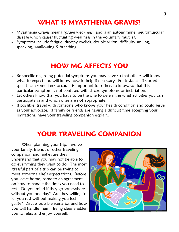# WHAT IS MYASTHENIA GRAVIS?

- Myasthenia Gravis means "grave weakness" and is an autoimmune, neuromuscular disease which causes fluctuating weakness in the voluntary muscles.
- Symptoms include fatigue, droopy eyelids, double vision, difficulty smiling, speaking, swallowing & breathing.

# HOW MG AFFECTS YOU

- Be specific regarding potential symptoms you may have so that others will know what to expect and will know how to help if necessary. For instance, if slurred speech can sometimes occur, it is important for others to know, so that this particular symptom is not confused with stroke symptoms or inebriation.
- Let others know that you have to be the one to determine what activities you can participate in and which ones are not appropriate.
- If possible, travel with someone who knows your health condition and could serve as your advocate. If family or friends are having a difficult time accepting your limitations, have your traveling companion explain.

# YOUR TRAVELING COMPANION

 When planning your trip, involve your family, friends or other traveling companion and make sure they understand that you may not be able to do everything they want to do. The most stressful part of a trip can be trying to meet someone else's expectations. Before you leave home, come to an agreement on how to handle the times you need to rest. Do you mind if they go somewhere without you one day? Are they willing to let you rest without making you feel guilty? Discuss possible scenarios and how you will handle them. Being clear enables you to relax and enjoy yourself.

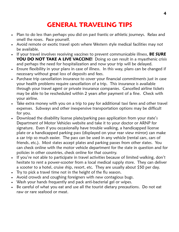# GENERAL TRAVELING TIPS

- Plan to do less than perhaps you did on past frantic or athletic journeys. Relax and smell the roses. Pace yourself.
- Avoid remote or exotic travel spots where Western style medical facilities may not be available.
- If your travel involves receiving vaccines to prevent communicable illness, BE SURE YOU DO NOT TAKE A LIVE VACCINE! Doing so can result in a myasthenic crisis and perhaps the need for hospitalization and now your trip will be delayed.
- Ensure flexibility in your plans in case of illness. In this way, plans can be changed if necessary without great loss of deposits and fees.
- Purchase trip cancellation insurance to cover your financial commitments just in case your health problems require cancellation of a trip. This insurance is available through your travel agent or private insurance companies. Cancelled airline tickets may be able to be rescheduled within 2 years after payment of a fine. Check with your airline.
- Take extra money with you on a trip to pay for additional taxi fares and other travel expenses. Subways and other inexpensive transportation options may be difficult for you.
- Download the disability license plate/parking pass application from your state's Department of Motor Vehicles website and take it to your doctor or ARNP for signature. Even if you occasionally have trouble walking, a handicapped license plate or a handicapped parking pass (displayed on your rear view mirror) can make a car trip so much easier. The pass can be used in any vehicle (rental cars, cars of friends, etc.). Most states accept plates and parking passes from other states. You can check online with the motor vehicle department for the state in question and for policies in other countries, check online for that country.
- If you're not able to participate in travel activities because of limited walking, don't hesitate to rent a power-scooter from a local medical supply store. They can deliver a scooter to a hotel, cruise ship, resort, etc. They are usually about \$50 per day.
- Try to pick a travel time not in the height of the flu season.
- Avoid crowds and coughing foreigners with new contagious bugs.
- Wash your hands frequently and pack anti-bacterial gel or wipes.
- Be careful of what you eat and use all the tourist dietary precautions. Do not eat raw or rare seafood or meat.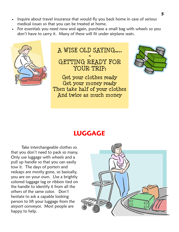- Inquire about travel insurance that would fly you back home in case of serious medical issues so that you can be treated at home.
- For essentials you need now and again, purchase a small bag with wheels so you don't have to carry it. Many of these will fit under airplane seats.





Get your clothes ready Get your money ready Then take half of your clothes And twice as much money



## LUGGAGE

 Take interchangeable clothes so that you don't need to pack so many. Only use luggage with wheels and a pull up handle so that you can easily tow it. The days of porters and redcaps are mostly gone, so basically, you are on your own. Use a brightly colored luggage tag or ribbon tied on the handle to identify it from all the others of the same color. Don't hesitate to ask a capable looking person to lift your luggage from the airport conveyor. Most people are happy to help.

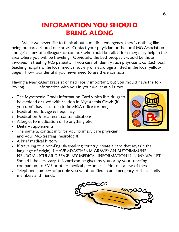# INFORMATION YOU SHOULD BRING ALONG

While we never like to think about a medical emergency, there's nothing like being prepared should one arise. Contact your physician or the local MG Association and get names of colleagues or contacts who could be called for emergency help in the area where you will be traveling. Obviously, the best prospects would be those involved in treating MG patients. If you cannot identify such physicians, contact local teaching hospitals, the local medical society or neurologists listed in the local yellow pages. How wonderful if you never need to use these contacts!

Having a MedicAlert bracelet or necklace is important, but you should have the following information with you in your wallet at all times:

- The Myasthenia Gravis Information Card which lists drugs to be avoided or used with caution in Myasthenia Gravis (if you don't have a card, ask the MGA office for one)
- Medication, dosage & frequency
- Medication & treatment contraindications
- Allergies to medication or to anything else
- Dietary supplements
- The name & contact info for your primary care physician, and your MG-treating neurologist.
- A brief medical history
- If traveling to a non-English-speaking country, create a card that says (in the language of origin) I HAVE MYASTHENIA GRAVIS: AN AUTOIMMUNE NEUROMUSCULAR DISEASE. MY MEDICAL INFORMATION IS IN MY WALLET. Should it be necessary, this card can be given by you or by your traveling companion, to EMS or other medical personnel. Print out a few of these.
- Telephone numbers of people you want notified in an emergency, such as family members and friends.



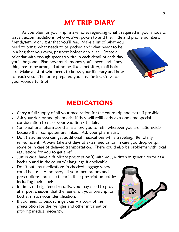# MY TRIP DIARY

 As you plan for your trip, make notes regarding what's required in your mode of travel, accommodations, who you've spoken to and their title and phone numbers,

friends/family or sights that you'll see. Make a list of what you need to bring, what needs to be packed and what needs to be in a bag that you carry, passport holder or wallet. Create a calendar with enough space to write in each detail of each day you'll be gone. Plan how much money you'll need and if anything has to be arranged at home, like a pet-sitter, mail hold, etc. Make a list of who needs to know your itinerary and how to reach you. The more prepared you are, the less stress for your wonderful trip!

# MEDICATIONS

- Carry a full supply of all your medication for the entire trip and extra if possible.
- Ask your doctor and pharmacist if they will refill early as a one-time special consideration to meet your vacation schedule.
- Some national pharmacy chains allow you to refill wherever you are nationwide because their computers are linked. Ask your pharmacist.
- Don't assume you can get additional medications while traveling. Be totally self-sufficient. Always take 2-3 days of extra medication in case you drop or spill some or in case of delayed transportation. There could also be problems with local regulations for you to get a refill.
- Just in case, have a duplicate prescription(s) with you, written in generic terms as a back up and in the country's language if applicable.
- Don't put any medications in checked luggage where it could be lost. Hand carry all your medications and prescriptions and keep them in their prescription bottles including their labels.
- In times of heightened security, you may need to prove at airport check-in that the names on your prescription bottles match your identification.
- If you need to pack syringes, carry a copy of the prescription for the syringes and other information proving medical necessity.



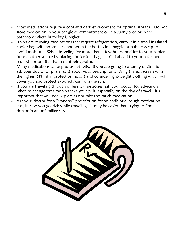- Most medications require a cool and dark environment for optimal storage. Do not store medication in your car glove compartment or in a sunny area or in the bathroom where humidity is higher.
- If you are carrying medications that require refrigeration, carry it in a small insulated cooler bag with an ice pack and wrap the bottles in a baggie or bubble wrap to avoid moisture. When traveling for more than a few hours, add ice to your cooler from another source by placing the ice in a baggie. Call ahead to your hotel and request a room that has a mini-refrigerator.
- Many medications cause photosensitivity. If you are going to a sunny destination, ask your doctor or pharmacist about your prescriptions. Bring the sun screen with the highest SPF (skin protection factor) and consider light-weight clothing which will cover you and protect exposed skin from the sun.
- If you are traveling through different time zones, ask your doctor for advice on when to change the time you take your pills, especially on the day of travel. It's important that you not skip doses nor take too much medication.
- Ask your doctor for a "standby" prescription for an antibiotic, cough medication, etc., in case you get sick while traveling. It may be easier than trying to find a doctor in an unfamiliar city.

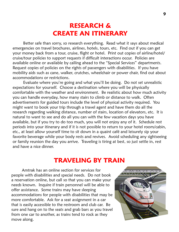## RESEARCH & CREATE AN ITINERARY

 Better safe than sorry, so research everything. Read what it says about medical emergencies on travel brochures, airlines, hotels, tours, etc. Find out if you can get your money back from a tour, cruise, flight or hotel. Print out copies of airline/hotel/ cruise/tour policies to support requests if difficult interactions occur. Policies are available online or available by calling ahead to the "Special Services" departments. Request copies of policies on the rights of passengers with disabilities. If you have mobility aids such as cane, walker, crutches, wheelchair or power chair, find out about accommodations or restrictions.

 Evaluate where you're going and what you'll be doing. Do not set unrealistic expectations for yourself. Choose a destination where you will be physically comfortable with the weather and environment. Be realistic about how much activity you can handle everyday, how many stairs to climb or distance to walk. Often advertisements for guided tours include the level of physical activity required. You might want to book your trip through a travel agent and have them do all the research regarding walking distance, number of stairs, location of elevators, etc. It is natural to want to see and do all you can with the few vacation days you have available, but if you try to do too much, you will not enjoy any of it. Schedule rest periods into your itinerary and if it is not possible to return to your hotel room/cabin, etc., at least allow yourself time to sit down in a quaint café and leisurely sip your favorite beverage while your body rests and revives. Avoid scheduling any sightseeing or family reunion the day you arrive. Traveling is tiring at best, so just settle in, rest and have a nice dinner.

#### TRAVELING BY TRAIN

 Amtrak has an online section for services for people with disabilities and special needs. Do not book a reservation online, but call so that you can make your needs known. Inquire if train personnel will be able to offer assistance. Some trains may have sleeping accommodations for people with disabilities that may be more comfortable. Ask for a seat assignment in a car that is easily accessible to the restroom and club car. Be sure and hang on to the seats and grab bars as you travel from one car to another, as trains tend to rock as they move along.

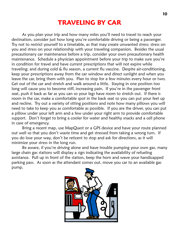# TRAVELING BY CAR

 As you plan your trip and how many miles you'll need to travel to reach your destination, consider just how long you're comfortable driving or being a passenger. Try not to restrict yourself to a timetable, as that may create unwanted stress; stress on you and stress on your relationship with your traveling companion. Besides the usual precautionary car maintenance before a trip, consider your own precautionary health maintenance. Schedule a physician appointment before your trip to make sure you're in condition for travel and have current prescriptions that will not expire while traveling; and during cold & flu season, a current flu vaccine. Despite air-conditioning, keep your prescriptions away from the car window and direct sunlight and when you leave the car, bring them with you. Plan to stop for a few minutes every hour or two. Get out of the car and stretch and walk around a little. Staying in one position too long will cause you to become stiff, increasing pain. If you're in the passenger front seat, push it back as far as you can so your legs have room to stretch out. If there is room in the car, make a comfortable spot in the back seat so you can put your feet up and recline. Try out a variety of sitting positions and note how many pillows you will need to take to keep you as comfortable as possible. If you are the driver, you can put a pillow under your left arm and a few under your right arm to provide comfortable support. Don't forget to bring a cooler for water and healthy snacks and a cell phone in case of emergency.

 Bring a recent map, use MapQuest or a GPS device and have your route planned out well so that you don't waste time and get stressed from taking a wrong turn. If you do lose your way, don't be reticent to stop and ask for directions, as it will minimize your stress in the long run.

Be aware, if you're driving alone and have trouble pumping your own gas, many large chain gas stations will display a sign indicating the availability of refueling assistance. Pull up in front of the station, beep the horn and wave your handicapped parking pass. As soon as the attendant comes out, move you car to an available gas pump.

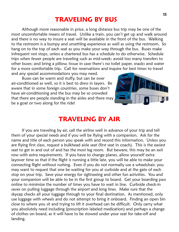## TRAVELING BY BUS

 Although more reasonable in price, a long distance bus trip may be one of the most uncomfortable means of travel. Unlike a train, you can't get up and walk around and there is no way to insure a seat will be available in the front of the bus. Walking to the restroom is a bumpy and unsettling experience as well as using the restroom. So hang on to the top of each seat as you make your way through the bus. Buses make infrequent rest stops, unless a chartered bus has a schedule to do otherwise. Schedule trips when fewer people are traveling such as mid-week; avoid too many transfers to other buses; and bring a pillow, tissue in case there's no toilet paper, snacks and water for a more comfortable trip. Call for reservations and inquire for best times to travel and any special accommodations you may need.

 Buses can be warm and stuffy, but can be over air-conditioned as well, so it is best to dress in layers. Be aware that in some foreign countries, some buses don't have air-conditioning and the bus may be so crowded that there are people standing in the aisles and there may be a goat or two along for the ride!



#### TRAVELING BY AIR

 If you are traveling by air, call the airline well in advance of your trip and tell them of your special needs and if you will be flying with a companion. Ask for the name and title of each person you speak with and record this information. Unless you are flying first class, request a bulkhead aisle seat (first seat in coach). This is the easiest seat to get in and out of and has the most leg room. But beware, this may be an exit row with extra requirements. If you have to change planes, allow yourself extra layover time so that if the flight is running a little late, you will be able to make your connecting flight without rushing. Even if you do not normally use a wheelchair, you may want to request that one be waiting for you at curbside and at the gate of each stop on your trip. Save your energy for sightseeing and other fun activities. You and your companion will be able to be in the first group to board. Get your boarding pass online to minimize the number of times you have to wait in line. Curbside check-in saves on pulling luggage through the airport and long lines. Make sure that the skycap checks all your luggage through to your final destination. As mentioned, only use luggage with wheels and do not attempt to bring it onboard. Finding an open bin close to where you sit and trying to lift it overhead can be difficult. Only carry what you absolutely need including (prescription labeled medication) and perhaps a change of clothes on board, as it will have to be stowed under your seat for take-off and landing.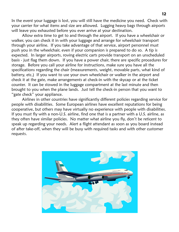In the event your luggage is lost, you will still have the medicine you need. Check with your carrier for what items and size are allowed. Lugging heavy bags through airports will leave you exhausted before you ever arrive at your destination.

 Allow extra time to get to and through the airport. If you have a wheelchair or walker, you can check it in with your luggage and arrange for wheelchair transport through your airline. If you take advantage of that service, airport personnel must push you in the wheelchair, even if your companion is prepared to do so. A tip is expected. In larger airports, roving electric carts provide transport on an unscheduled basis - just flag them down. If you have a power chair, there are specific procedures for storage. Before you call your airline for instructions, make sure you have all the specifications regarding the chair (measurements, weight, movable parts, what kind of battery, etc.) If you want to use your own wheelchair or walker in the airport and check it at the gate, make arrangements at check-in with the skycap or at the ticket counter. It can be stowed in the luggage compartment at the last minute and then brought to you when the plane lands. Just tell the check-in person that you want to "gate check" your appliance.

 Airlines in other countries have significantly different policies regarding service for people with disabilities. Some European airlines have excellent reputations for being cooperative, but others may have virtually no experience with people with disabilities. If you must fly with a non-U.S. airline, find one that is a partner with a U.S. airline, as they often have similar policies. No matter what airline you fly, don't be reticent to speak up regarding your needs. Alert a flight attendant as soon as you board instead of after take-off, when they will be busy with required tasks and with other customer requests.

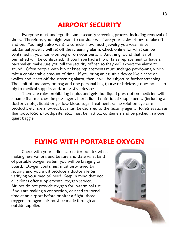# AIRPORT SECURITY

 Everyone must undergo the same security screening process, including removal of shoes. Therefore, you might want to consider what are your easiest shoes to take off and on. You might also want to consider how much jewelry you wear, since substantial jewelry will set off the screening alarm. Check online for what can be contained in your carry-on bag or on your person. Anything found that is not permitted will be confiscated. If you have had a hip or knee replacement or have a pacemaker, make sure you tell the security officer, so they will expect the alarm to sound. Often people with hip or knee replacements must undergo pat-downs, which take a considerable amount of time. If you bring an assistive device like a cane or walker and it sets off the screening alarm, then it will be subject to further screening. The limit of one carry-on bag and one personal bag (purse or briefcase) does not apply to medical supplies and/or assistive devices.

 There are rules prohibiting liquids and gels, but liquid prescription medicine with a name that matches the passenger's ticket, liquid nutritional supplements, (including a doctor's note), liquid or gel low blood sugar treatment, saline solution eye care products, etc. are allowed, but must be declared to the security agent. Toiletries such as shampoo, lotion, toothpaste, etc., must be in 3 oz. containers and be packed in a one quart baggie.

## FLYING WITH PORTABLE OXYGEN

 Check with your airline carrier for policies when making reservations and be sure and state what kind of portable oxygen system you will be bringing on board. Oxygen containers must be x-rayed by security and you must produce a doctor's letter verifying your medical need. Keep in mind that not all airlines offer supplemental oxygen service. Airlines do not provide oxygen for in-terminal use. If you are making a connection, or need to spend time at an airport before or after a flight, those oxygen arrangements must be made through an outside supplier.

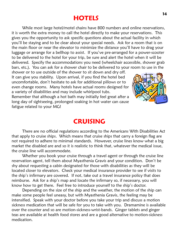#### **HOTELS**

 While most large hotel/motel chains have 800 numbers and online reservations, it is worth the extra money to call the hotel directly to make your reservations. This gives you the opportunity to ask specific questions about the actual facility in which you'll be staying and to be clear about your special needs. Ask for a room that is on the main floor or near the elevator to minimize the distance you'll have to drag your luggage or arrange for a bellhop to assist. If you've pre-arranged for a power-scooter to be delivered to the hotel for your trip, be sure and alert the hotel when it will be delivered. Specify the accommodations you need (wheelchair accessible, shower grab bars, etc.). You can ask for a shower chair to be delivered to your room to use in the

shower or to use outside of the shower to sit down and dry off. It can give you stability. Upon arrival, if you find the hotel bed uncomfortable, don't hesitate to ask for additional pillows or to even change rooms. Many hotels have actual rooms designed for a variety of disabilities and may include whirlpool tubs.

Remember that although a hot bath may initially feel great after a long day of sightseeing, prolonged soaking in hot water can cause fatigue related to your MG!



#### CRUISING

 There are no official regulations according to the Americans With Disabilities Act that apply to cruise ships. Which means that cruise ships that carry a foreign flag are not required to adhere to minimal standards. However, cruise lines know what a big market the disabled are and so it is realistic to think that, whatever the medical issue, the cruise line will accommodate.

 Whether you book your cruise through a travel agent or through the cruise line reservation agent, tell them about Myasthenia Gravis and your condition. Don't be shy about requesting a cabin designated for those with disabilities as they will be located closer to elevators. Check your medical insurance provider to see if visits to the ship's infirmary are covered. If not, take out a travel insurance policy that does reimburse. Ask for a ship's map and locate the infirmary so, if necessary, you will know how to get there. Feel free to introduce yourself to the ship's doctor.

 Depending on the size of the ship and the weather, the motion of the ship can make some people feel uneasy, but with Myasthenia Gravis, the feeling may be intensified. Speak with your doctor before you take your trip and discuss a motion sickness medication that will be safe for you to take with you. Dramamine is available over the counter and so are motion-sickness-wrist-bands. Ginger tablets and ginger teas are available at health food stores and are a good alternative to motion-sickness medication.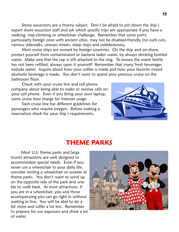Shore excursions are a thorny subject. Don't be afraid to pin down the ship's expert shore excursion staff and ask which specific trips are appropriate if you have a walking, step-climbing or wheelchair challenge. Remember that some ports, particularly foreign ones with ancient cities, may not be disabled-friendly (no curb cuts, narrow sidewalks, uneven streets, steep steps and cobblestones).

 Most cruise ships are owned by foreign countries. On the ship and on-shore, protect yourself from contaminated or bacteria laden water, by always drinking bottled water. Make sure that the cap is still attached to the ring. To ensure the water bottle has not been refilled, always open it yourself! Remember that many fresh beverages include water. Inquire about how your coffee is made and how your favorite mixed alcoholic beverage is made. You don't want to spend your precious cruise on the bathroom floor.

Check with your cruise line and cell phone company about being able to make or receive calls on your cell phone. Even if you bring your own laptop, some cruise lines charge for Internet usage.

 Each cruise line has different guidelines for passengers who require oxygen. Before making a reservation check for your ship's requirements.



#### THEME PARKS

 Most U.S. theme parks and large tourist attractions are well designed to accommodate special needs. Even if you never use a wheelchair in your daily life, consider renting a wheelchair or scooter at theme parks. You don't want to wind up on the opposite side of the park and unable to walk back. At most attractions, if you are in a wheelchair, you and those accompanying you can go right in without waiting in line. You will be able to do a lot more and suffer a lot less. Remember to prepare for sun exposure and drink a lot of water.

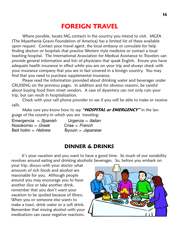# FOREIGN TRAVEL

 Where possible, locate MG contacts in the country you intend to visit. MGFA (The Myasthenia Gravis Foundation of America) has a limited list of these available upon request. Contact your travel agent, the local embassy or consulate for help finding doctors or hospitals that practice Western style medicine or contact a local teaching hospital. The International Association for Medical Assistance to Travelers can provide general information and lists of physicians that speak English. Ensure you have adequate health insurance in effect while you are on your trip and always check with your insurance company that you are in fact covered in a foreign country. You may find that you need to purchase supplemental insurance.

 Please read the information provided about drinking water and beverages under CRUISING on the previous pages. In addition and for obvious reasons, be careful about buying food from street vendors. A case of dysentery can not only ruin your trip, but can result in hospitalization.

 Check with your cell phone provider to see if you will be able to make or receive calls.

Make sure you know how to say "HOSPITAL or EMERGENCY" in the language of the country in which you are traveling:

| Emergencia = $Spanish$ | Urgenza = Italian   |
|------------------------|---------------------|
| Nosokomio = $Greek$    | Crise = $French$    |
| Beit holim = Hebrew    | Byouin = $Japanese$ |

#### DINNER & DRINKS

 It's your vacation and you want to have a good time. So much of our sociability revolves around eating and drinking alcoholic beverages. So, before you embark on

your trip, discuss with your doctor what amounts of rich foods and alcohol are reasonable for you. Although people around you may encourage you to have another slice or take another drink, remember that you don't want your vacation to be spoiled because of illness. When you or someone else wants to make a toast, drink water or a soft drink. Remember that mixing alcohol with your medications can cause negative reactions.

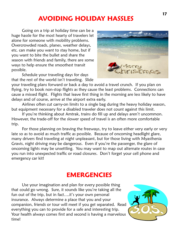# AVOIDING HOLIDAY HASSLES

 Going on a trip at holiday time can be a huge hassle for the most hearty of travelers let alone for someone with mobility problems. Overcrowded roads, planes, weather delays, etc. can make you want to stay home, but if you want to bite the bullet and share the season with friends and family, there are some ways to help ensure the smoothest transit possible.

 Schedule your traveling days for days that the rest of the world isn't traveling. Slide

your traveling plans forward or back a day to avoid a travel crunch. If you plan on flying, try to book non-stop flights as they cause the least problems. Connections can cause a missed flight. Flights that leave first thing in the morning are less likely to have delays and of course, arrive at the airport extra early.

 Airlines often cut carry-on limits to a single bag during the heavy holiday season, but equipment necessary for a disabled traveler does not count against this limit.

 If you're thinking about Amtrak, trains do fill up and delays aren't uncommon. However, the trade-off for the slower speed of travel is an often more comfortable trip.

 For those planning on braving the freeways, try to leave either very early or very late so as to avoid as much traffic as possible. Because of oncoming headlight glare, many drivers find traveling at night unpleasant, but for those living with Myasthenia Gravis, night driving may be dangerous. Even if you're the passenger, the glare of oncoming lights may be unsettling. You may want to map out alternate routes in case you run into unexpected traffic or road closures. Don't forget your cell phone and emergency car kit!

# EMERGENCIES

 Use your imagination and plan for every possible thing that could go wrong. Sure, it sounds like you're taking all the fun out of the trip, but in fact....it's your own personal insurance. Always determine a place that you and your companion, friends or tour will meet if you get separated. Read everything you can to provide for a safe and interesting trip. Your health always comes first and second is having a marvelous time!



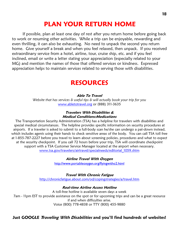# PLAN YOUR RETURN HOME

 If possible, plan at least one day of rest after you return home before going back to work or resuming other activities. While a trip can be enjoyable, rewarding and even thrilling, it can also be exhausting. No need to unpack the second you return home. Give yourself a break and when you feel relaxed, then unpack. If you received extraordinary service from a hotel, airline, tour, cruise ship, etc. and if you feel inclined, email or write a letter stating your appreciation (especially related to your MG) and mention the names of those that offered services or kindness. Expressed appreciation helps to maintain services related to serving those with disabilities.

## RESOURCES

#### Able To Travel

Website that has services & useful tips & will actually book your trip for you www.abletotravel.org or (888) 311-3635

#### Travelers With Disabilities & Medical Conditions:Medications

The Transportation Security Administration (TSA) has a helpline for travelers with disabilities and special medical circumstances. The helpline provides specific information on security procedures at airports. If a traveler is asked to submit to a full-body scan he/she can undergo a pat-down instead, which includes agents using their hands to check sensitive areas of the body. You can call TSA toll free at 1-855-787-2227 before you travel to learn about screening policies, procedures and what to expect at the security checkpoint. If you call 72 hours before your trip, TSA will coordinate checkpoint support with a TSA Customer Service Manager located at the airport when necessary. www.tsa.gov/travelers/airtravel/specialneeds/editorial\_1059.shtm

#### Airline Travel With Oxygen

http://www.portableoxygen.org/flyingwitho2.html

#### Travel With Chronic Fatigue

http://chronicfatigue.about.com/od/copingstrategies/a/travel.htm

#### Real-time Airline Access Hotline

A toll-free hotline is available seven days a week 7am - 11pm EST to provide assistance on the spot or for upcoming trips and can be a great resource if and when difficulties arise. Voice (800) 778-4838 or TTY (800) 455-9880

#### Just GOOGLE Traveling With Disabilities and you'll find hundreds of websites!